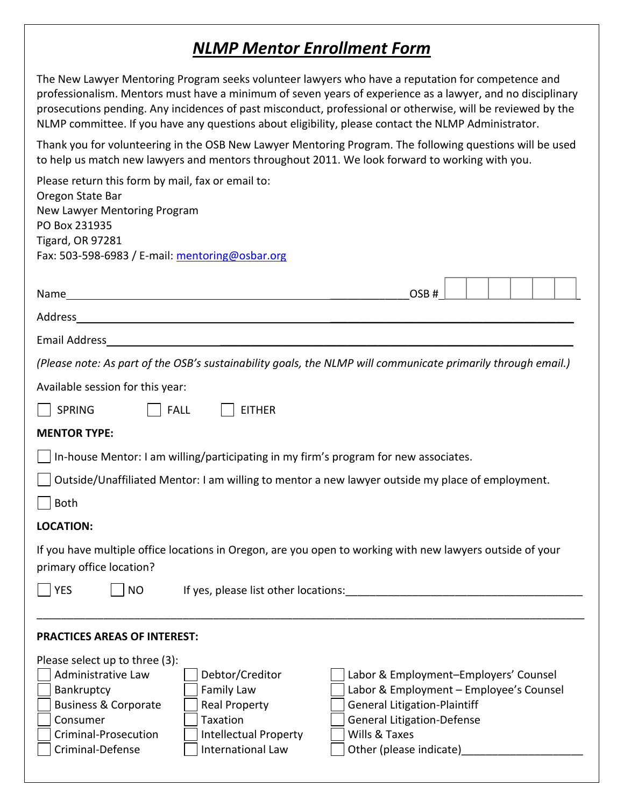## *NLMP Mentor Enrollment Form*

The New Lawyer Mentoring Program seeks volunteer lawyers who have a reputation for competence and professionalism. Mentors must have a minimum of seven years of experience as a lawyer, and no disciplinary prosecutions pending. Any incidences of past misconduct, professional or otherwise, will be reviewed by the NLMP committee. If you have any questions about eligibility, please contact the NLMP Administrator.

Thank you for volunteering in the OSB New Lawyer Mentoring Program. The following questions will be used to help us match new lawyers and mentors throughout 2011. We look forward to working with you.

| Please return this form by mail, fax or email to:<br>Oregon State Bar<br>New Lawyer Mentoring Program<br>PO Box 231935<br><b>Tigard, OR 97281</b><br>Fax: 503-598-6983 / E-mail: mentoring@osbar.org                                                                                    |                                                                                                                                                                                                          |  |
|-----------------------------------------------------------------------------------------------------------------------------------------------------------------------------------------------------------------------------------------------------------------------------------------|----------------------------------------------------------------------------------------------------------------------------------------------------------------------------------------------------------|--|
|                                                                                                                                                                                                                                                                                         | OSB#                                                                                                                                                                                                     |  |
|                                                                                                                                                                                                                                                                                         |                                                                                                                                                                                                          |  |
|                                                                                                                                                                                                                                                                                         |                                                                                                                                                                                                          |  |
| (Please note: As part of the OSB's sustainability goals, the NLMP will communicate primarily through email.)                                                                                                                                                                            |                                                                                                                                                                                                          |  |
| Available session for this year:                                                                                                                                                                                                                                                        |                                                                                                                                                                                                          |  |
| <b>SPRING</b><br><b>FALL</b><br><b>EITHER</b>                                                                                                                                                                                                                                           |                                                                                                                                                                                                          |  |
| <b>MENTOR TYPE:</b>                                                                                                                                                                                                                                                                     |                                                                                                                                                                                                          |  |
| In-house Mentor: I am willing/participating in my firm's program for new associates.                                                                                                                                                                                                    |                                                                                                                                                                                                          |  |
| Outside/Unaffiliated Mentor: I am willing to mentor a new lawyer outside my place of employment.                                                                                                                                                                                        |                                                                                                                                                                                                          |  |
| <b>Both</b>                                                                                                                                                                                                                                                                             |                                                                                                                                                                                                          |  |
| <b>LOCATION:</b>                                                                                                                                                                                                                                                                        |                                                                                                                                                                                                          |  |
| If you have multiple office locations in Oregon, are you open to working with new lawyers outside of your<br>primary office location?                                                                                                                                                   |                                                                                                                                                                                                          |  |
| If yes, please list other locations: The manufacture of yes, please list other locations:<br><b>YES</b><br><b>NO</b>                                                                                                                                                                    |                                                                                                                                                                                                          |  |
|                                                                                                                                                                                                                                                                                         |                                                                                                                                                                                                          |  |
| <b>PRACTICES AREAS OF INTEREST:</b>                                                                                                                                                                                                                                                     |                                                                                                                                                                                                          |  |
| Please select up to three (3):<br>Administrative Law<br>Debtor/Creditor<br>Bankruptcy<br>Family Law<br><b>Business &amp; Corporate</b><br><b>Real Property</b><br>Taxation<br>Consumer<br>Criminal-Prosecution<br><b>Intellectual Property</b><br>Criminal-Defense<br>International Law | Labor & Employment-Employers' Counsel<br>Labor & Employment - Employee's Counsel<br><b>General Litigation-Plaintiff</b><br><b>General Litigation-Defense</b><br>Wills & Taxes<br>Other (please indicate) |  |